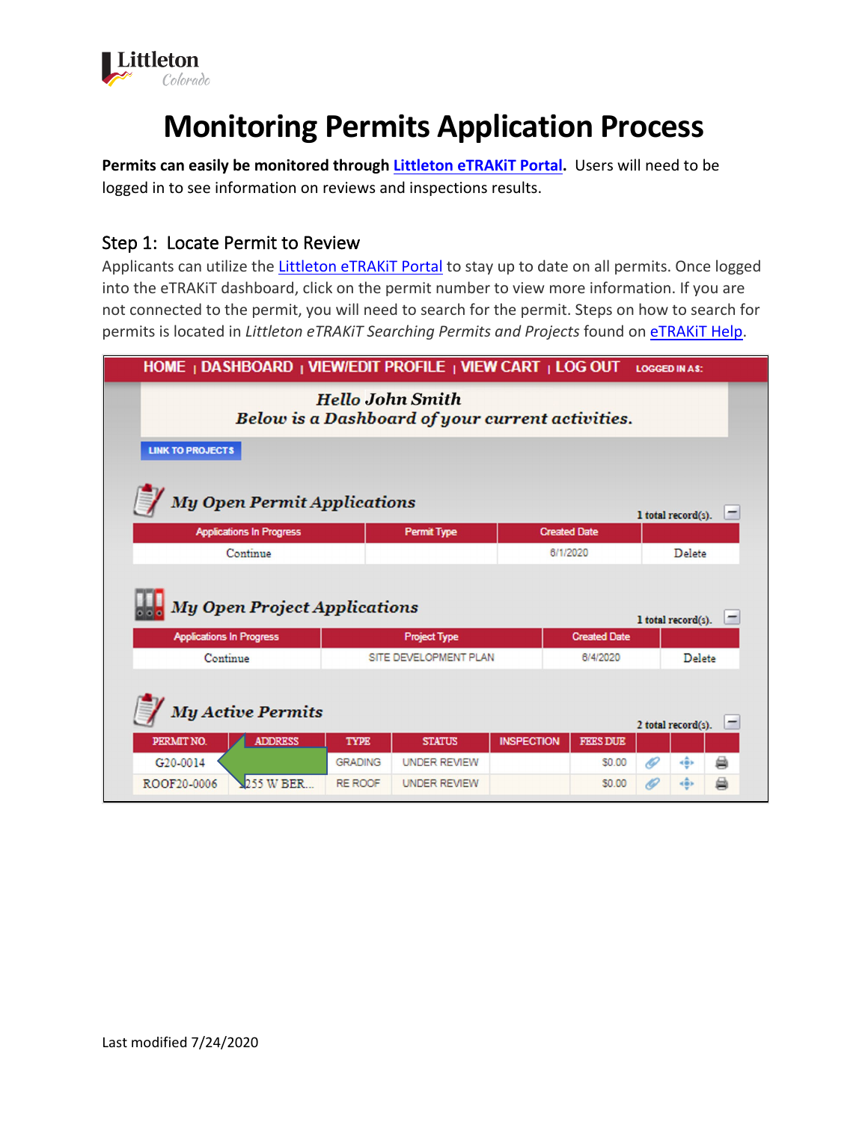

# **Monitoring Permits Application Process**

**Permits can easily be monitored through [Littleton eTRAKiT Portal.](https://permit9.littletongov.org/eTRAKiT)** Users will need to be logged in to see information on reviews and inspections results.

# Step 1: Locate Permit to Review

Applicants can utilize the Littleton eTRAKIT Portal to stay up to date on all permits. Once logged into the eTRAKiT dashboard, click on the permit number to view more information. If you are not connected to the permit, you will need to search for the permit. Steps on how to search for permits is located in *Littleton eTRAKiT Searching Permits and Projects* found on [eTRAKiT Help.](https://www.littletongov.org/building-development/etrakit-portal)

| HOME   DASHBOARD   VIEW/EDIT PROFILE   VIEW CART   LOG OUT                  |                     |                       |                   |                     | <b>LOGGED IN AS:</b> |                    |   |
|-----------------------------------------------------------------------------|---------------------|-----------------------|-------------------|---------------------|----------------------|--------------------|---|
| <b>Hello John Smith</b><br>Below is a Dashboard of your current activities. |                     |                       |                   |                     |                      |                    |   |
| <b>LINK TO PROJECTS</b>                                                     |                     |                       |                   |                     |                      |                    |   |
| <b>My Open Permit Applications</b><br>1 total record(s).                    |                     |                       |                   |                     |                      |                    |   |
| <b>Applications In Progress</b>                                             | <b>Permit Type</b>  |                       |                   | <b>Created Date</b> |                      |                    |   |
|                                                                             | Continue            |                       |                   | 6/1/2020            |                      | Delete             |   |
| <b>My Open Project Applications</b>                                         |                     |                       |                   |                     |                      | 1 total record(s). |   |
| <b>Applications In Progress</b>                                             | <b>Project Type</b> |                       |                   | <b>Created Date</b> |                      |                    |   |
| Continue                                                                    |                     | SITE DEVELOPMENT PLAN |                   | 6/4/2020            |                      | Delete             |   |
| <b>My Active Permits</b><br>2 total record(s).                              |                     |                       |                   |                     |                      |                    |   |
| PERMIT NO.<br><b>ADDRESS</b>                                                | <b>TYPE</b>         | <b>STATUS</b>         | <b>INSPECTION</b> | <b>FEES DUE</b>     |                      |                    |   |
|                                                                             |                     |                       |                   |                     |                      |                    |   |
| G20-0014                                                                    | <b>GRADING</b>      | <b>UNDER REVIEW</b>   |                   | \$0.00              | ki                   | kâs.               | ⇔ |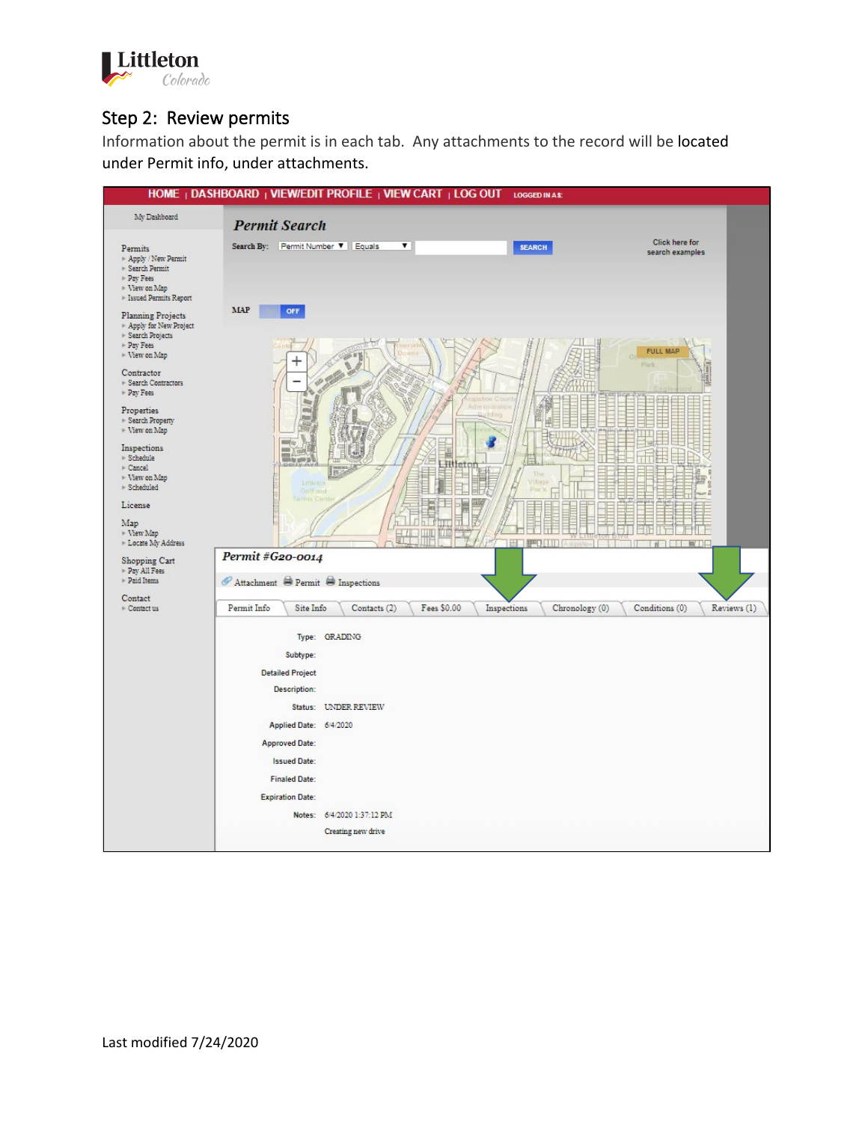

## Step 2: Review permits

Information about the permit is in each tab. Any attachments to the record will be located under Permit info, under attachments.

|                                                                                                          |                                                                                        | HOME   DASHBOARD   VIEW/EDIT PROFILE   VIEW CART   LOG OUT LOGGED IN AS: |                         |                |                                   |             |
|----------------------------------------------------------------------------------------------------------|----------------------------------------------------------------------------------------|--------------------------------------------------------------------------|-------------------------|----------------|-----------------------------------|-------------|
| My Dashboard                                                                                             | <b>Permit Search</b>                                                                   |                                                                          |                         |                |                                   |             |
| Permits<br>* Apply / New Permit<br>▶ Search Permit<br>Pay Fees<br>▶ View on Map<br>Essued Permits Report | Search By: Permit Number $\Psi$ Equals                                                 | $\overline{\mathbf{v}}$                                                  | <b>SEARCH</b>           |                | Click here for<br>search examples |             |
| <b>Planning Projects</b><br>Apply for New Project<br>▶ Search Projects<br>$\triangleright$ Pay Fees      | <b>MAP</b><br>OFF                                                                      |                                                                          |                         |                | <b>FULL MAP</b>                   |             |
| $\triangleright$ View on Map<br>Contractor<br>Search Contractors<br>$\triangleright$ Pay Fees            |                                                                                        |                                                                          |                         |                | Park<br>ᄈ                         |             |
| Properties<br>▶ Search Property<br>▶ View on Map<br>Inspections                                          |                                                                                        |                                                                          |                         |                |                                   |             |
| $\triangleright$ Schedule<br>+ Cancel<br>▶ View on Map<br>> Scheduled                                    | Little to<br>Galf and<br><b>Tarihillo Ca</b>                                           | 18                                                                       | <b>Littletor</b><br>Thi |                |                                   |             |
| License<br>Map<br>+ View Map<br>E Locate My Address                                                      |                                                                                        |                                                                          | 円                       |                |                                   |             |
| Shopping Cart<br>Pay All Fees<br>Paid Items                                                              | Permit #G20-0014<br>$\mathscr O$ Attachment $\bigoplus$ Permit $\bigoplus$ Inspections |                                                                          |                         |                |                                   |             |
| Contact<br>$\triangleright$ Contact us                                                                   | Permit Info<br>Site Info                                                               | Fees \$0.00<br>Contacts (2)                                              | Inspections             | Chronology (0) | Conditions (0)                    | Reviews (1) |
|                                                                                                          |                                                                                        | Type: GRADING                                                            |                         |                |                                   |             |
|                                                                                                          | Subtype:                                                                               |                                                                          |                         |                |                                   |             |
|                                                                                                          | <b>Detailed Project</b><br><b>Description:</b>                                         |                                                                          |                         |                |                                   |             |
|                                                                                                          |                                                                                        | Status: UNDER REVIEW                                                     |                         |                |                                   |             |
|                                                                                                          | Applied Date: 6/4/2020                                                                 |                                                                          |                         |                |                                   |             |
|                                                                                                          | <b>Approved Date:</b>                                                                  |                                                                          |                         |                |                                   |             |
|                                                                                                          | <b>Issued Date:</b>                                                                    |                                                                          |                         |                |                                   |             |
|                                                                                                          | <b>Finaled Date:</b>                                                                   |                                                                          |                         |                |                                   |             |
|                                                                                                          | <b>Expiration Date:</b>                                                                |                                                                          |                         |                |                                   |             |
|                                                                                                          |                                                                                        | Notes: 6/4/2020 1:37:12 PM<br>Creating new drive                         |                         |                |                                   |             |